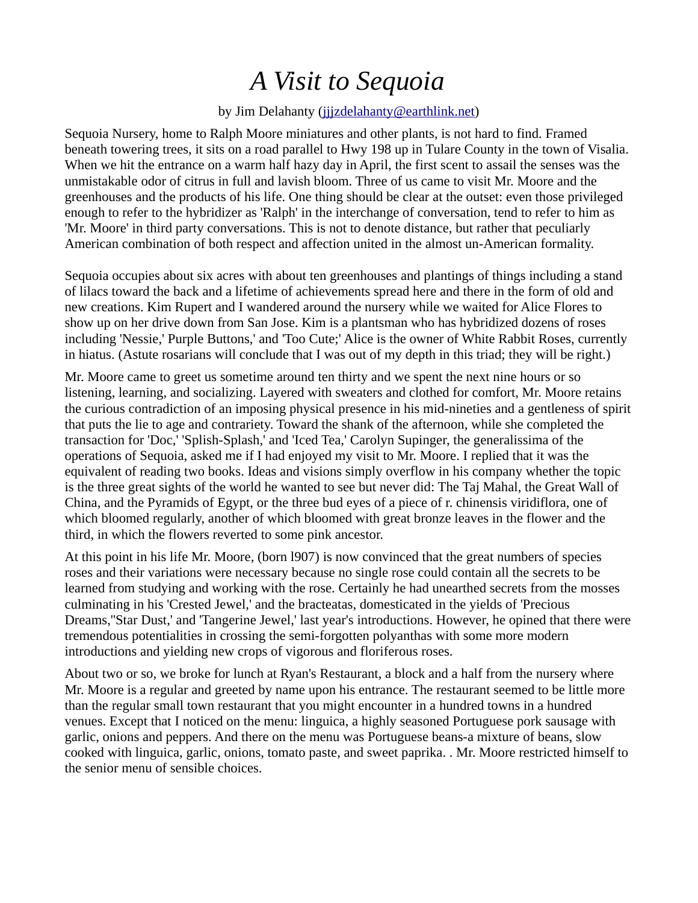## *A Visit to Sequoia*

## by Jim Delahanty (jjjzdelahanty@earthlink.net)

Sequoia Nursery, home to Ralph Moore miniatures and other plants, is not hard to find. Framed beneath towering trees, it sits on a road parallel to Hwy 198 up in Tulare County in the town of Visalia. When we hit the entrance on a warm half hazy day in April, the first scent to assail the senses was the unmistakable odor of citrus in full and lavish bloom. Three of us came to visit Mr. Moore and the greenhouses and the products of his life. One thing should be clear at the outset: even those privileged enough to refer to the hybridizer as 'Ralph' in the interchange of conversation, tend to refer to him as 'Mr. Moore' in third party conversations. This is not to denote distance, but rather that peculiarly American combination of both respect and affection united in the almost un-American formality.

Sequoia occupies about six acres with about ten greenhouses and plantings of things including a stand of lilacs toward the back and a lifetime of achievements spread here and there in the form of old and new creations. Kim Rupert and I wandered around the nursery while we waited for Alice Flores to show up on her drive down from San Jose. Kim is a plantsman who has hybridized dozens of roses including 'Nessie,' Purple Buttons,' and 'Too Cute;' Alice is the owner of White Rabbit Roses, currently in hiatus. (Astute rosarians will conclude that I was out of my depth in this triad; they will be right.)

Mr. Moore came to greet us sometime around ten thirty and we spent the next nine hours or so listening, learning, and socializing. Layered with sweaters and clothed for comfort, Mr. Moore retains the curious contradiction of an imposing physical presence in his mid-nineties and a gentleness of spirit that puts the lie to age and contrariety. Toward the shank of the afternoon, while she completed the transaction for 'Doc,' 'Splish-Splash,' and 'Iced Tea,' Carolyn Supinger, the generalissima of the operations of Sequoia, asked me if I had enjoyed my visit to Mr. Moore. I replied that it was the equivalent of reading two books. Ideas and visions simply overflow in his company whether the topic is the three great sights of the world he wanted to see but never did: The Taj Mahal, the Great Wall of China, and the Pyramids of Egypt, or the three bud eyes of a piece of r. chinensis viridiflora, one of which bloomed regularly, another of which bloomed with great bronze leaves in the flower and the third, in which the flowers reverted to some pink ancestor.

At this point in his life Mr. Moore, (born l907) is now convinced that the great numbers of species roses and their variations were necessary because no single rose could contain all the secrets to be learned from studying and working with the rose. Certainly he had unearthed secrets from the mosses culminating in his 'Crested Jewel,' and the bracteatas, domesticated in the yields of 'Precious Dreams,''Star Dust,' and 'Tangerine Jewel,' last year's introductions. However, he opined that there were tremendous potentialities in crossing the semi-forgotten polyanthas with some more modern introductions and yielding new crops of vigorous and floriferous roses.

About two or so, we broke for lunch at Ryan's Restaurant, a block and a half from the nursery where Mr. Moore is a regular and greeted by name upon his entrance. The restaurant seemed to be little more than the regular small town restaurant that you might encounter in a hundred towns in a hundred venues. Except that I noticed on the menu: linguica, a highly seasoned Portuguese pork sausage with garlic, onions and peppers. And there on the menu was Portuguese beans-a mixture of beans, slow cooked with linguica, garlic, onions, tomato paste, and sweet paprika. . Mr. Moore restricted himself to the senior menu of sensible choices.